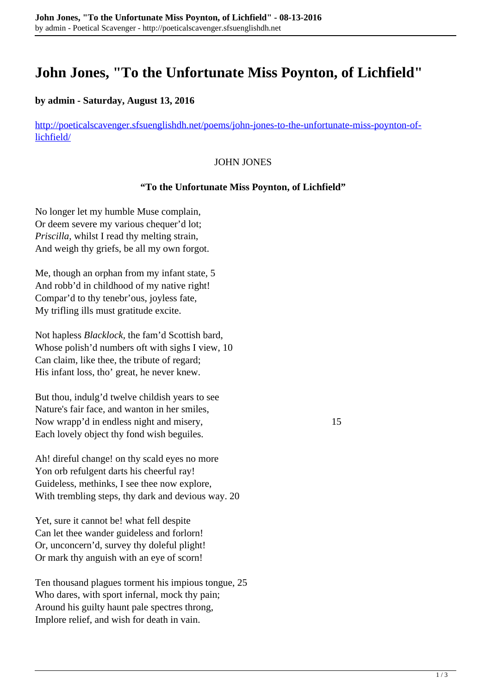# **John Jones, "To the Unfortunate Miss Poynton, of Lichfield"**

### **by admin - Saturday, August 13, 2016**

[http://poeticalscavenger.sfsuenglishdh.net/poems/john-jones-to-the-unfortunate-miss-poynton-of](http://poeticalscavenger.sfsuenglishdh.net/poems/john-jones-to-the-unfortunate-miss-poynton-of-lichfield/)[lichfield/](http://poeticalscavenger.sfsuenglishdh.net/poems/john-jones-to-the-unfortunate-miss-poynton-of-lichfield/)

#### JOHN JONES

#### **"To the Unfortunate Miss Poynton, of Lichfield"**

No longer let my humble Muse complain, Or deem severe my various chequer'd lot; *Priscilla*, whilst I read thy melting strain, And weigh thy griefs, be all my own forgot.

Me, though an orphan from my infant state, 5 And robb'd in childhood of my native right! Compar'd to thy tenebr'ous, joyless fate, My trifling ills must gratitude excite.

Not hapless *Blacklock,* the fam'd Scottish bard, Whose polish'd numbers oft with sighs I view, 10 Can claim, like thee, the tribute of regard; His infant loss, tho' great, he never knew.

But thou, indulg'd twelve childish years to see Nature's fair face, and wanton in her smiles, Now wrapp'd in endless night and misery, 15 Each lovely object thy fond wish beguiles.

Ah! direful change! on thy scald eyes no more Yon orb refulgent darts his cheerful ray! Guideless, methinks, I see thee now explore, With trembling steps, thy dark and devious way. 20

Yet, sure it cannot be! what fell despite Can let thee wander guideless and forlorn! Or, unconcern'd, survey thy doleful plight! Or mark thy anguish with an eye of scorn!

Ten thousand plagues torment his impious tongue, 25 Who dares, with sport infernal, mock thy pain; Around his guilty haunt pale spectres throng, Implore relief, and wish for death in vain.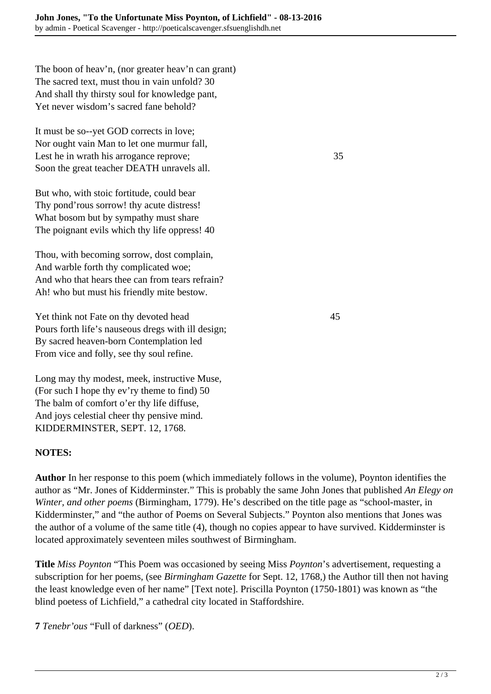The boon of heav'n, (nor greater heav'n can grant) The sacred text, must thou in vain unfold? 30 And shall thy thirsty soul for knowledge pant, Yet never wisdom's sacred fane behold?

It must be so--yet GOD corrects in love; Nor ought vain Man to let one murmur fall, Lest he in wrath his arrogance reprove; 35 Soon the great teacher DEATH unravels all.

But who, with stoic fortitude, could bear Thy pond'rous sorrow! thy acute distress! What bosom but by sympathy must share The poignant evils which thy life oppress! 40

Thou, with becoming sorrow, dost complain, And warble forth thy complicated woe; And who that hears thee can from tears refrain? Ah! who but must his friendly mite bestow.

Yet think not Fate on thy devoted head 45 Pours forth life's nauseous dregs with ill design; By sacred heaven-born Contemplation led From vice and folly, see thy soul refine.

Long may thy modest, meek, instructive Muse, (For such I hope thy ev'ry theme to find) 50 The balm of comfort o'er thy life diffuse, And joys celestial cheer thy pensive mind. KIDDERMINSTER, SEPT. 12, 1768.

## **NOTES:**

**Author** In her response to this poem (which immediately follows in the volume), Poynton identifies the author as "Mr. Jones of Kidderminster." This is probably the same John Jones that published *An Elegy on Winter, and other poems* (Birmingham, 1779). He's described on the title page as "school-master, in Kidderminster," and "the author of Poems on Several Subjects." Poynton also mentions that Jones was the author of a volume of the same title (4), though no copies appear to have survived. Kidderminster is located approximately seventeen miles southwest of Birmingham.

**Title** *Miss Poynton* "This Poem was occasioned by seeing Miss *Poynton*'s advertisement, requesting a subscription for her poems, (see *Birmingham Gazette* for Sept. 12, 1768,) the Author till then not having the least knowledge even of her name" [Text note]. Priscilla Poynton (1750-1801) was known as "the blind poetess of Lichfield," a cathedral city located in Staffordshire.

**7** *Tenebr'ous* "Full of darkness" (*OED*).